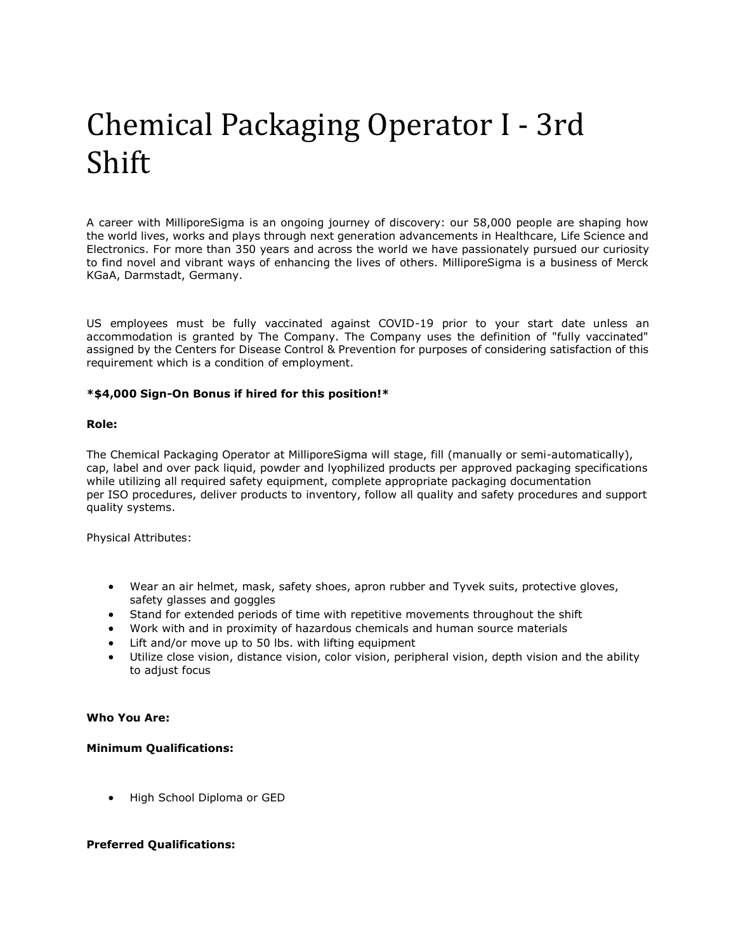# Chemical Packaging Operator I - 3rd Shift

A career with MilliporeSigma is an ongoing journey of discovery: our 58,000 people are shaping how the world lives, works and plays through next generation advancements in Healthcare, Life Science and Electronics. For more than 350 years and across the world we have passionately pursued our curiosity to find novel and vibrant ways of enhancing the lives of others. MilliporeSigma is a business of Merck KGaA, Darmstadt, Germany.

US employees must be fully vaccinated against COVID-19 prior to your start date unless an accommodation is granted by The Company. The Company uses the definition of "fully vaccinated" assigned by the Centers for Disease Control & Prevention for purposes of considering satisfaction of this requirement which is a condition of employment.

## **\*\$4,000 Sign-On Bonus if hired for this position!\***

## **Role:**

The Chemical Packaging Operator at MilliporeSigma will stage, fill (manually or semi-automatically), cap, label and over pack liquid, powder and lyophilized products per approved packaging specifications while utilizing all required safety equipment, complete appropriate packaging documentation per ISO procedures, deliver products to inventory, follow all quality and safety procedures and support quality systems.

Physical Attributes:

- Wear an air helmet, mask, safety shoes, apron rubber and Tyvek suits, protective gloves, safety glasses and goggles
- Stand for extended periods of time with repetitive movements throughout the shift
- Work with and in proximity of hazardous chemicals and human source materials
- Lift and/or move up to 50 lbs. with lifting equipment
- Utilize close vision, distance vision, color vision, peripheral vision, depth vision and the ability to adjust focus

### **Who You Are:**

### **Minimum Qualifications:**

• High School Diploma or GED

## **Preferred Qualifications:**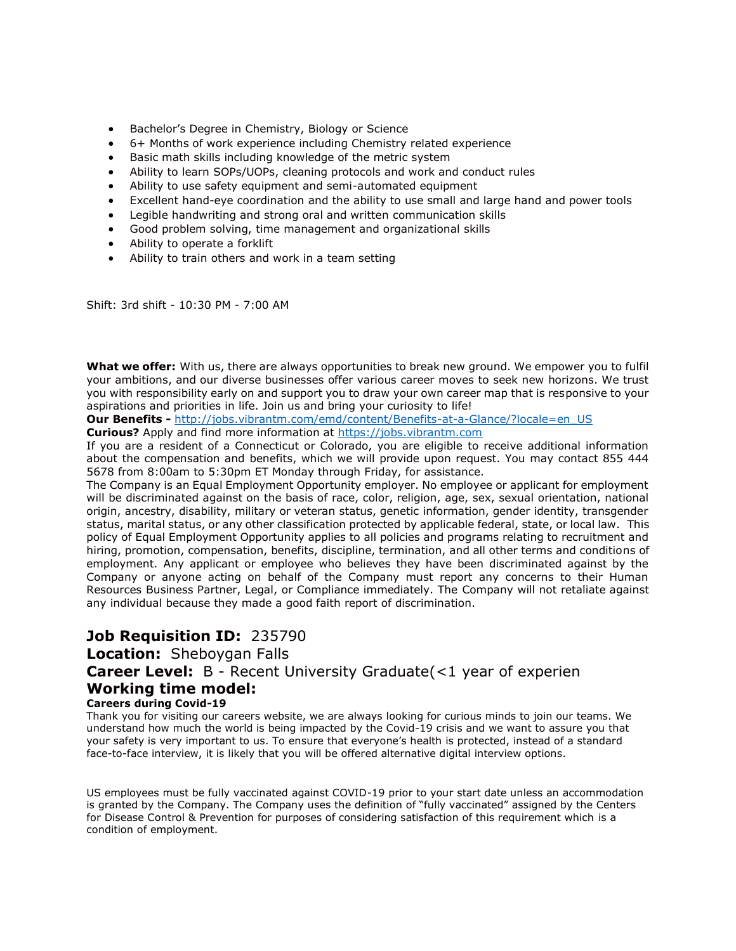- Bachelor's Degree in Chemistry, Biology or Science
- 6+ Months of work experience including Chemistry related experience
- Basic math skills including knowledge of the metric system
- Ability to learn SOPs/UOPs, cleaning protocols and work and conduct rules
- Ability to use safety equipment and semi-automated equipment
- Excellent hand-eye coordination and the ability to use small and large hand and power tools
- Legible handwriting and strong oral and written communication skills
- Good problem solving, time management and organizational skills
- Ability to operate a forklift
- Ability to train others and work in a team setting

Shift: 3rd shift - 10:30 PM - 7:00 AM

**What we offer:** With us, there are always opportunities to break new ground. We empower you to fulfil your ambitions, and our diverse businesses offer various career moves to seek new horizons. We trust you with responsibility early on and support you to draw your own career map that is responsive to your aspirations and priorities in life. Join us and bring your curiosity to life!

**Our Benefits -** [http://jobs.vibrantm.com/emd/content/Benefits-at-a-Glance/?locale=en\\_US](http://jobs.vibrantm.com/emd/content/Benefits-at-a-Glance/?locale=en_US)

**Curious?** Apply and find more information at [https://jobs.vibrantm.com](https://jobs.vibrantm.com/)

If you are a resident of a Connecticut or Colorado, you are eligible to receive additional information about the compensation and benefits, which we will provide upon request. You may contact 855 444 5678 from 8:00am to 5:30pm ET Monday through Friday, for assistance.

The Company is an Equal Employment Opportunity employer. No employee or applicant for employment will be discriminated against on the basis of race, color, religion, age, sex, sexual orientation, national origin, ancestry, disability, military or veteran status, genetic information, gender identity, transgender status, marital status, or any other classification protected by applicable federal, state, or local law. This policy of Equal Employment Opportunity applies to all policies and programs relating to recruitment and hiring, promotion, compensation, benefits, discipline, termination, and all other terms and conditions of employment. Any applicant or employee who believes they have been discriminated against by the Company or anyone acting on behalf of the Company must report any concerns to their Human Resources Business Partner, Legal, or Compliance immediately. The Company will not retaliate against any individual because they made a good faith report of discrimination.

## **Job Requisition ID:** 235790

**Location:** Sheboygan Falls

## **Career Level:** B - Recent University Graduate(<1 year of experien

## **Working time model:**

## **Careers during Covid-19**

Thank you for visiting our careers website, we are always looking for curious minds to join our teams. We understand how much the world is being impacted by the Covid-19 crisis and we want to assure you that your safety is very important to us. To ensure that everyone's health is protected, instead of a standard face-to-face interview, it is likely that you will be offered alternative digital interview options.

US employees must be fully vaccinated against COVID-19 prior to your start date unless an accommodation is granted by the Company. The Company uses the definition of "fully vaccinated" assigned by the Centers for Disease Control & Prevention for purposes of considering satisfaction of this requirement which is a condition of employment.